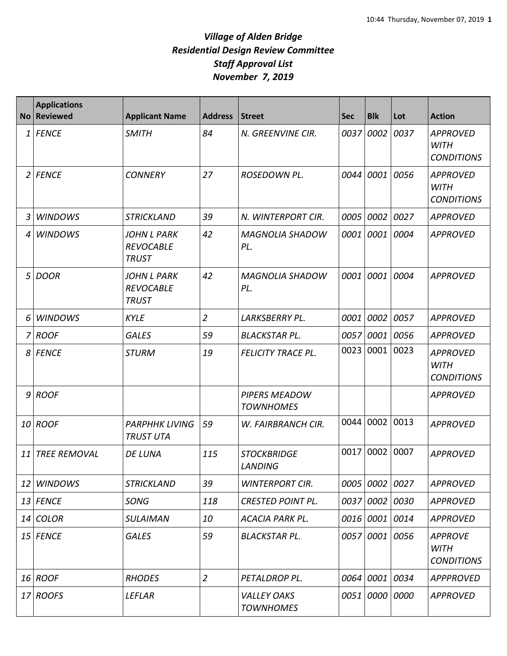| <b>No</b> | <b>Applications</b><br><b>Reviewed</b> | <b>Applicant Name</b>                                  | <b>Address</b> | Street                                 | <b>Sec</b> | <b>Blk</b>     | Lot  | <b>Action</b>                                       |
|-----------|----------------------------------------|--------------------------------------------------------|----------------|----------------------------------------|------------|----------------|------|-----------------------------------------------------|
| 1         | <b>FENCE</b>                           | <b>SMITH</b>                                           | 84             | N. GREENVINE CIR.                      | 0037       | 0002           | 0037 | <b>APPROVED</b><br><b>WITH</b><br><b>CONDITIONS</b> |
| 2         | <b>FENCE</b>                           | <b>CONNERY</b>                                         | 27             | ROSEDOWN PL.                           |            | 0044 0001      | 0056 | <b>APPROVED</b><br><b>WITH</b><br><b>CONDITIONS</b> |
| 3         | <b>WINDOWS</b>                         | <b>STRICKLAND</b>                                      | 39             | N. WINTERPORT CIR.                     | 0005       | 0002           | 0027 | <b>APPROVED</b>                                     |
| 4         | <b>WINDOWS</b>                         | <b>JOHN L PARK</b><br><b>REVOCABLE</b><br><b>TRUST</b> | 42             | <b>MAGNOLIA SHADOW</b><br>PL.          | 0001       | 0001           | 0004 | <b>APPROVED</b>                                     |
| 5         | <b>DOOR</b>                            | <b>JOHN L PARK</b><br><b>REVOCABLE</b><br><b>TRUST</b> | 42             | <b>MAGNOLIA SHADOW</b><br>PL.          |            | 0001 0001      | 0004 | <b>APPROVED</b>                                     |
| 6         | <b>WINDOWS</b>                         | <b>KYLE</b>                                            | $\overline{2}$ | LARKSBERRY PL.                         | 0001       | 0002           | 0057 | <b>APPROVED</b>                                     |
| 7         | <b>ROOF</b>                            | <b>GALES</b>                                           | 59             | <b>BLACKSTAR PL.</b>                   | 0057       | 0001           | 0056 | <b>APPROVED</b>                                     |
| 8         | <b>FENCE</b>                           | <b>STURM</b>                                           | 19             | <b>FELICITY TRACE PL.</b>              | 0023       | 0001           | 0023 | <b>APPROVED</b><br><b>WITH</b><br><b>CONDITIONS</b> |
| 9         | <b>ROOF</b>                            |                                                        |                | PIPERS MEADOW<br><b>TOWNHOMES</b>      |            |                |      | <b>APPROVED</b>                                     |
| 10        | <b>ROOF</b>                            | <b>PARPHHK LIVING</b><br><b>TRUST UTA</b>              | 59             | W. FAIRBRANCH CIR.                     |            | 0044 0002      | 0013 | <b>APPROVED</b>                                     |
| 11        | <b>TREE REMOVAL</b>                    | <b>DE LUNA</b>                                         | 115            | <b>STOCKBRIDGE</b><br><b>LANDING</b>   | 0017       | 0002           | 0007 | <b>APPROVED</b>                                     |
| 12        | <b>WINDOWS</b>                         | <b>STRICKLAND</b>                                      | 39             | <b>WINTERPORT CIR.</b>                 |            | 0005 0002      | 0027 | <b>APPROVED</b>                                     |
|           | 13 FENCE                               | SONG                                                   | 118            | <b>CRESTED POINT PL.</b>               |            | 0037 0002 0030 |      | <b>APPROVED</b>                                     |
| 14        | <b>COLOR</b>                           | <b>SULAIMAN</b>                                        | 10             | <b>ACACIA PARK PL.</b>                 |            | 0016 0001 0014 |      | <b>APPROVED</b>                                     |
|           | 15 FENCE                               | <b>GALES</b>                                           | 59             | <b>BLACKSTAR PL.</b>                   |            | 0057 0001 0056 |      | <b>APPROVE</b><br><b>WITH</b><br><b>CONDITIONS</b>  |
|           | 16 ROOF                                | <b>RHODES</b>                                          | $\overline{2}$ | PETALDROP PL.                          |            | 0064 0001 0034 |      | <b>APPPROVED</b>                                    |
| 17        | <b>ROOFS</b>                           | <b>LEFLAR</b>                                          |                | <b>VALLEY OAKS</b><br><b>TOWNHOMES</b> |            | 0051 0000 0000 |      | <b>APPROVED</b>                                     |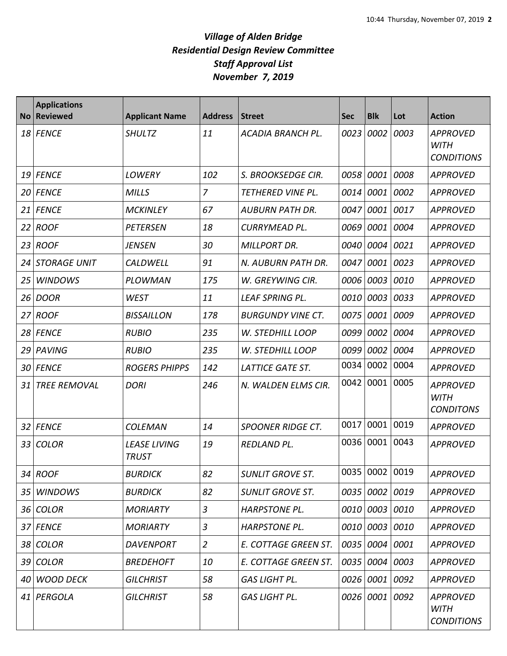| <b>No</b> | <b>Applications</b><br><b>Reviewed</b> | <b>Applicant Name</b>               | <b>Address</b> | <b>Street</b>            | <b>Sec</b> | <b>Blk</b>     | Lot  | <b>Action</b>                                       |
|-----------|----------------------------------------|-------------------------------------|----------------|--------------------------|------------|----------------|------|-----------------------------------------------------|
| 18        | <b>FENCE</b>                           | <b>SHULTZ</b>                       | 11             | ACADIA BRANCH PL.        | 0023       | 0002           | 0003 | <b>APPROVED</b><br><b>WITH</b><br><b>CONDITIONS</b> |
| 19        | <b>FENCE</b>                           | <b>LOWERY</b>                       | 102            | S. BROOKSEDGE CIR.       | 0058       | 0001           | 0008 | <b>APPROVED</b>                                     |
| 20        | <b>FENCE</b>                           | <b>MILLS</b>                        | $\overline{z}$ | TETHERED VINE PL.        | 0014       | 0001           | 0002 | <b>APPROVED</b>                                     |
| 21        | <b>FENCE</b>                           | <b>MCKINLEY</b>                     | 67             | <b>AUBURN PATH DR.</b>   | 0047       | 0001           | 0017 | <b>APPROVED</b>                                     |
| 22        | <b>ROOF</b>                            | <b>PETERSEN</b>                     | 18             | CURRYMEAD PL.            | 0069       | 0001           | 0004 | <b>APPROVED</b>                                     |
| 23        | <b>ROOF</b>                            | <b>JENSEN</b>                       | 30             | <b>MILLPORT DR.</b>      | 0040       | 0004 0021      |      | <b>APPROVED</b>                                     |
| 24        | <b>STORAGE UNIT</b>                    | CALDWELL                            | 91             | N. AUBURN PATH DR.       | 0047       | 0001           | 0023 | <b>APPROVED</b>                                     |
| 25        | <b>WINDOWS</b>                         | PLOWMAN                             | 175            | W. GREYWING CIR.         | 0006       | 0003           | 0010 | <b>APPROVED</b>                                     |
| 26        | <b>DOOR</b>                            | <b>WEST</b>                         | 11             | <b>LEAF SPRING PL.</b>   | 0010       | 0003           | 0033 | <b>APPROVED</b>                                     |
| 27        | <b>ROOF</b>                            | <b>BISSAILLON</b>                   | 178            | <b>BURGUNDY VINE CT.</b> | 0075       | 0001           | 0009 | <b>APPROVED</b>                                     |
| 28        | <b>FENCE</b>                           | <b>RUBIO</b>                        | 235            | W. STEDHILL LOOP         | 0099       | 0002           | 0004 | <b>APPROVED</b>                                     |
| 29        | PAVING                                 | <b>RUBIO</b>                        | 235            | W. STEDHILL LOOP         | 0099       | 0002           | 0004 | <b>APPROVED</b>                                     |
| 30        | <b>FENCE</b>                           | <b>ROGERS PHIPPS</b>                | 142            | <b>LATTICE GATE ST.</b>  | 0034       | 0002           | 0004 | <b>APPROVED</b>                                     |
| 31        | <b>TREE REMOVAL</b>                    | <b>DORI</b>                         | 246            | N. WALDEN ELMS CIR.      | 0042       | 0001           | 0005 | <b>APPROVED</b><br><b>WITH</b><br><b>CONDITONS</b>  |
| 32        | <b>FENCE</b>                           | <b>COLEMAN</b>                      | 14             | <b>SPOONER RIDGE CT.</b> | 0017       | 0001           | 0019 | <b>APPROVED</b>                                     |
| 33        | <b>COLOR</b>                           | <b>LEASE LIVING</b><br><b>TRUST</b> | 19             | <b>REDLAND PL.</b>       | 0036       | 0001           | 0043 | <b>APPROVED</b>                                     |
|           | 34 ROOF                                | <b>BURDICK</b>                      | 82             | <b>SUNLIT GROVE ST.</b>  |            | 0035 0002 0019 |      | <b>APPROVED</b>                                     |
| 35        | <b>WINDOWS</b>                         | <b>BURDICK</b>                      | 82             | <b>SUNLIT GROVE ST.</b>  |            | 0035 0002 0019 |      | <b>APPROVED</b>                                     |
| 36        | <b>COLOR</b>                           | <b>MORIARTY</b>                     | $\overline{3}$ | <b>HARPSTONE PL.</b>     |            | 0010 0003 0010 |      | <b>APPROVED</b>                                     |
|           | 37 FENCE                               | <b>MORIARTY</b>                     | 3              | <b>HARPSTONE PL.</b>     |            | 0010 0003 0010 |      | <b>APPROVED</b>                                     |
| 38        | <b>COLOR</b>                           | <b>DAVENPORT</b>                    | $\overline{2}$ | E. COTTAGE GREEN ST.     |            | 0035 0004 0001 |      | <b>APPROVED</b>                                     |
| 39        | <b>COLOR</b>                           | <b>BREDEHOFT</b>                    | 10             | E. COTTAGE GREEN ST.     |            | 0035 0004 0003 |      | <b>APPROVED</b>                                     |
| 40        | <b>WOOD DECK</b>                       | <b>GILCHRIST</b>                    | 58             | <b>GAS LIGHT PL.</b>     |            | 0026 0001 0092 |      | <b>APPROVED</b>                                     |
| 41        | PERGOLA                                | <b>GILCHRIST</b>                    | 58             | GAS LIGHT PL.            |            | 0026 0001 0092 |      | <b>APPROVED</b><br><b>WITH</b><br><b>CONDITIONS</b> |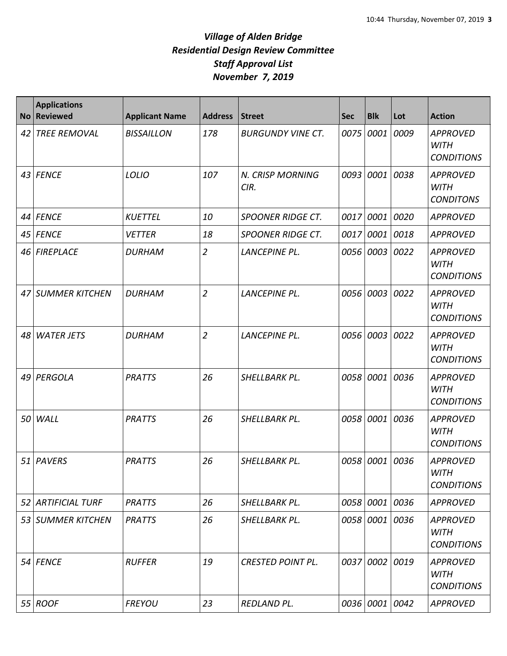| <b>No</b> | <b>Applications</b><br><b>Reviewed</b> | <b>Applicant Name</b> | <b>Address</b> | <b>Street</b>                   | <b>Sec</b> | <b>Blk</b>     | Lot  | <b>Action</b>                                       |
|-----------|----------------------------------------|-----------------------|----------------|---------------------------------|------------|----------------|------|-----------------------------------------------------|
| 42        | <b>TREE REMOVAL</b>                    | <b>BISSAILLON</b>     | 178            | <b>BURGUNDY VINE CT.</b>        | 0075       | 0001           | 0009 | <b>APPROVED</b><br><b>WITH</b><br><b>CONDITIONS</b> |
| 43        | <b>FENCE</b>                           | LOLIO                 | 107            | <b>N. CRISP MORNING</b><br>CIR. | 0093       | 0001           | 0038 | <b>APPROVED</b><br><b>WITH</b><br><b>CONDITONS</b>  |
| 44        | <b>FENCE</b>                           | <b>KUETTEL</b>        | 10             | <b>SPOONER RIDGE CT.</b>        | 0017       | 0001           | 0020 | <b>APPROVED</b>                                     |
| 45        | <b>FENCE</b>                           | <b>VETTER</b>         | 18             | <b>SPOONER RIDGE CT.</b>        | 0017       | 0001           | 0018 | <b>APPROVED</b>                                     |
| 46        | <b>FIREPLACE</b>                       | <b>DURHAM</b>         | $\overline{2}$ | LANCEPINE PL.                   |            | 0056 0003      | 0022 | <b>APPROVED</b><br><b>WITH</b><br><b>CONDITIONS</b> |
| 47        | <b>SUMMER KITCHEN</b>                  | <b>DURHAM</b>         | $\overline{2}$ | <b>LANCEPINE PL.</b>            |            | 0056 0003      | 0022 | <b>APPROVED</b><br><b>WITH</b><br><b>CONDITIONS</b> |
| 48        | <b>WATER JETS</b>                      | <b>DURHAM</b>         | $\overline{2}$ | <b>LANCEPINE PL.</b>            |            | 0056 0003      | 0022 | <b>APPROVED</b><br><b>WITH</b><br><b>CONDITIONS</b> |
| 49        | PERGOLA                                | <b>PRATTS</b>         | 26             | SHELLBARK PL.                   |            | 0058 0001      | 0036 | <b>APPROVED</b><br><b>WITH</b><br><b>CONDITIONS</b> |
| 50        | WALL                                   | <b>PRATTS</b>         | 26             | SHELLBARK PL.                   |            | 0058 0001      | 0036 | <b>APPROVED</b><br><b>WITH</b><br><b>CONDITIONS</b> |
| 51        | <b>PAVERS</b>                          | <b>PRATTS</b>         | 26             | SHELLBARK PL.                   |            | 0058 0001      | 0036 | <b>APPROVED</b><br><b>WITH</b><br><b>CONDITIONS</b> |
| 52        | <b>ARTIFICIAL TURF</b>                 | <b>PRATTS</b>         | 26             | SHELLBARK PL.                   |            | 0058 0001 0036 |      | <b>APPROVED</b>                                     |
| 53        | <b>SUMMER KITCHEN</b>                  | <b>PRATTS</b>         | 26             | SHELLBARK PL.                   |            | 0058 0001      | 0036 | <b>APPROVED</b><br><b>WITH</b><br><b>CONDITIONS</b> |
| 54        | <b>FENCE</b>                           | <b>RUFFER</b>         | 19             | <b>CRESTED POINT PL.</b>        |            | 0037 0002 0019 |      | <b>APPROVED</b><br><b>WITH</b><br><b>CONDITIONS</b> |
|           | 55 ROOF                                | <b>FREYOU</b>         | 23             | REDLAND PL.                     |            | 0036 0001 0042 |      | <b>APPROVED</b>                                     |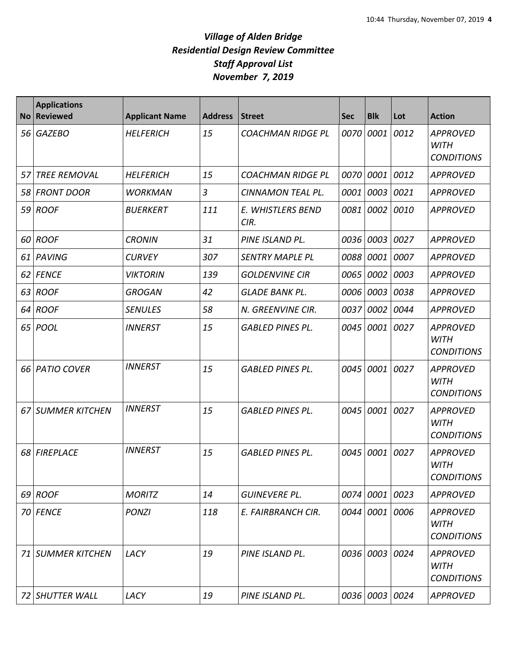| <b>No</b> | <b>Applications</b><br><b>Reviewed</b> | <b>Applicant Name</b> | <b>Address</b> | <b>Street</b>             | <b>Sec</b> | <b>Blk</b>     | Lot  | <b>Action</b>                                       |
|-----------|----------------------------------------|-----------------------|----------------|---------------------------|------------|----------------|------|-----------------------------------------------------|
|           | 56 GAZEBO                              | <b>HELFERICH</b>      | 15             | <b>COACHMAN RIDGE PL</b>  | 0070       | 0001           | 0012 | <b>APPROVED</b><br><b>WITH</b><br><b>CONDITIONS</b> |
| 57        | <b>TREE REMOVAL</b>                    | <b>HELFERICH</b>      | 15             | <b>COACHMAN RIDGE PL</b>  | 0070       | 0001           | 0012 | APPROVED                                            |
| 58        | <b>FRONT DOOR</b>                      | <b>WORKMAN</b>        | 3              | CINNAMON TEAL PL.         | 0001       | 0003           | 0021 | <b>APPROVED</b>                                     |
|           | 59 ROOF                                | <b>BUERKERT</b>       | 111            | E. WHISTLERS BEND<br>CIR. | 0081       | 0002           | 0010 | <b>APPROVED</b>                                     |
| 60        | <b>ROOF</b>                            | <b>CRONIN</b>         | 31             | PINE ISLAND PL.           | 0036       | 0003           | 0027 | <b>APPROVED</b>                                     |
| 61        | <b>PAVING</b>                          | <b>CURVEY</b>         | 307            | <b>SENTRY MAPLE PL</b>    | 0088       | 0001           | 0007 | <b>APPROVED</b>                                     |
| 62        | <b>FENCE</b>                           | <b>VIKTORIN</b>       | 139            | <b>GOLDENVINE CIR</b>     | 0065       | 0002           | 0003 | <b>APPROVED</b>                                     |
| 63        | <b>ROOF</b>                            | <b>GROGAN</b>         | 42             | <b>GLADE BANK PL.</b>     | 0006       | 0003           | 0038 | <b>APPROVED</b>                                     |
| 64        | <b>ROOF</b>                            | <b>SENULES</b>        | 58             | N. GREENVINE CIR.         | 0037       | 0002           | 0044 | <b>APPROVED</b>                                     |
|           | 65 <i>POOL</i>                         | <b>INNERST</b>        | 15             | <b>GABLED PINES PL.</b>   | 0045       | 0001           | 0027 | <b>APPROVED</b><br><b>WITH</b><br><b>CONDITIONS</b> |
|           | 66 PATIO COVER                         | <b>INNERST</b>        | 15             | <b>GABLED PINES PL.</b>   | 0045       | 0001           | 0027 | <b>APPROVED</b><br><b>WITH</b><br><b>CONDITIONS</b> |
| 67        | SUMMER KITCHEN                         | <b>INNERST</b>        | 15             | <b>GABLED PINES PL.</b>   | 0045       | 0001           | 0027 | <b>APPROVED</b><br><b>WITH</b><br><b>CONDITIONS</b> |
| 68        | FIREPLACE                              | <b>INNERST</b>        | 15             | <b>GABLED PINES PL.</b>   | 0045       | 0001           | 0027 | <b>APPROVED</b><br><b>WITH</b><br><b>CONDITIONS</b> |
|           | 69 ROOF                                | <b>MORITZ</b>         | 14             | <b>GUINEVERE PL.</b>      |            | 0074 0001 0023 |      | <b>APPROVED</b>                                     |
|           | 70 FENCE                               | <b>PONZI</b>          | 118            | E. FAIRBRANCH CIR.        | 0044       | 0001 0006      |      | <b>APPROVED</b><br><b>WITH</b><br><b>CONDITIONS</b> |
| 71        | <b>SUMMER KITCHEN</b>                  | LACY                  | 19             | PINE ISLAND PL.           |            | 0036 0003 0024 |      | <b>APPROVED</b><br><b>WITH</b><br><b>CONDITIONS</b> |
|           | 72 SHUTTER WALL                        | LACY                  | 19             | PINE ISLAND PL.           |            | 0036 0003 0024 |      | APPROVED                                            |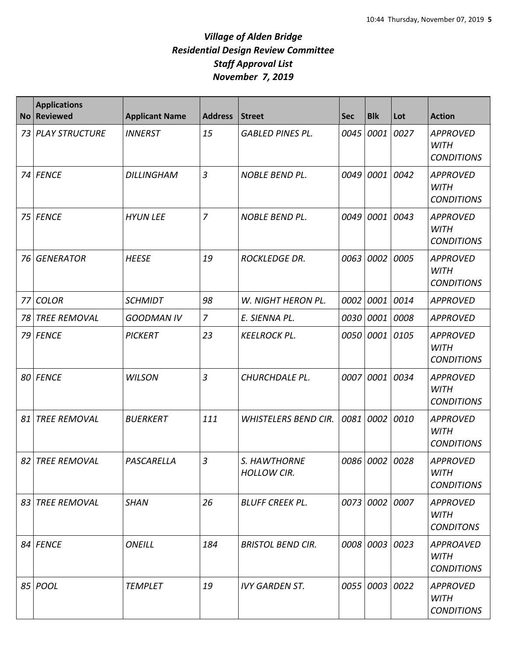| <b>No</b> | <b>Applications</b><br><b>Reviewed</b> | <b>Applicant Name</b> | <b>Address</b> | Street                             | <b>Sec</b> | <b>Blk</b>     | Lot  | <b>Action</b>                                        |
|-----------|----------------------------------------|-----------------------|----------------|------------------------------------|------------|----------------|------|------------------------------------------------------|
| 73        | <b>PLAY STRUCTURE</b>                  | <b>INNERST</b>        | 15             | <b>GABLED PINES PL.</b>            | 0045       | 0001           | 0027 | <b>APPROVED</b><br><b>WITH</b><br><b>CONDITIONS</b>  |
| 74 I      | <b>FENCE</b>                           | <b>DILLINGHAM</b>     | $\mathfrak{Z}$ | <b>NOBLE BEND PL.</b>              | 0049       | 0001           | 0042 | <b>APPROVED</b><br><b>WITH</b><br><b>CONDITIONS</b>  |
| 75        | <b>FENCE</b>                           | <b>HYUN LEE</b>       | $\overline{7}$ | <b>NOBLE BEND PL.</b>              | 0049       | 0001           | 0043 | <b>APPROVED</b><br><b>WITH</b><br><b>CONDITIONS</b>  |
| 76        | <b>GENERATOR</b>                       | <b>HEESE</b>          | 19             | <b>ROCKLEDGE DR.</b>               | 0063       | 0002           | 0005 | <b>APPROVED</b><br><b>WITH</b><br><b>CONDITIONS</b>  |
| 77        | <b>COLOR</b>                           | <b>SCHMIDT</b>        | 98             | W. NIGHT HERON PL.                 | 0002       | 0001           | 0014 | <b>APPROVED</b>                                      |
| 78        | <b>TREE REMOVAL</b>                    | <b>GOODMAN IV</b>     | $\overline{7}$ | E. SIENNA PL.                      | 0030       | 0001           | 0008 | <b>APPROVED</b>                                      |
| 79        | <b>FENCE</b>                           | <b>PICKERT</b>        | 23             | <b>KEELROCK PL.</b>                | 0050       | 0001           | 0105 | <b>APPROVED</b><br><b>WITH</b><br><b>CONDITIONS</b>  |
| 80        | <b>FENCE</b>                           | <b>WILSON</b>         | 3              | CHURCHDALE PL.                     | 0007       | 0001           | 0034 | <b>APPROVED</b><br><b>WITH</b><br><b>CONDITIONS</b>  |
| 81        | <b>TREE REMOVAL</b>                    | <b>BUERKERT</b>       | 111            | <b>WHISTELERS BEND CIR.</b>        | 0081       | 0002           | 0010 | <b>APPROVED</b><br><b>WITH</b><br><b>CONDITIONS</b>  |
| 82        | <b>TREE REMOVAL</b>                    | PASCARELLA            | 3              | S. HAWTHORNE<br><b>HOLLOW CIR.</b> |            | 0086 0002 0028 |      | <b>APPROVED</b><br><b>WITH</b><br><b>CONDITIONS</b>  |
| 83        | <b>TREE REMOVAL</b>                    | <b>SHAN</b>           | 26             | <b>BLUFF CREEK PL.</b>             |            | 0073 0002 0007 |      | <b>APPROVED</b><br><b>WITH</b><br><b>CONDITONS</b>   |
|           | 84 FENCE                               | <b>ONEILL</b>         | 184            | <b>BRISTOL BEND CIR.</b>           |            | 0008 0003 0023 |      | <b>APPROAVED</b><br><b>WITH</b><br><b>CONDITIONS</b> |
|           | 85 <i>POOL</i>                         | <b>TEMPLET</b>        | 19             | <b>IVY GARDEN ST.</b>              |            | 0055 0003 0022 |      | <b>APPROVED</b><br><b>WITH</b><br><b>CONDITIONS</b>  |